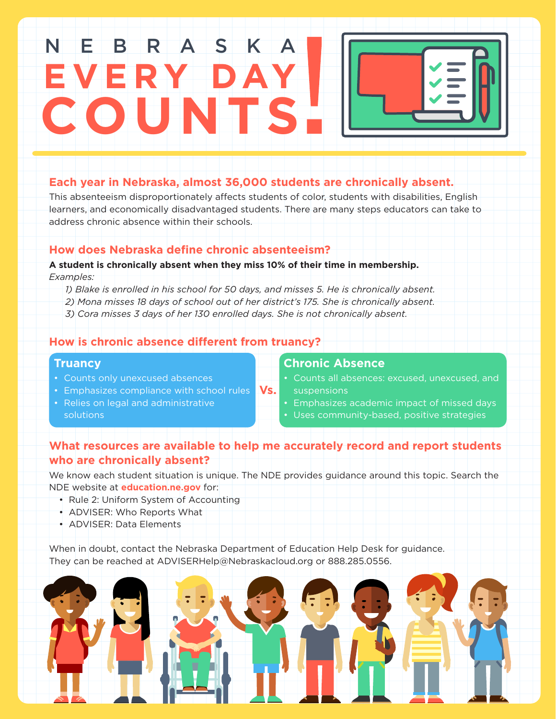# **EVERY DAY COUNTS** NEBRASK

# **Each year in Nebraska, almost 36,000 students are chronically absent.**

This absenteeism disproportionately affects students of color, students with disabilities, English learners, and economically disadvantaged students. There are many steps educators can take to address chronic absence within their schools.

### **How does Nebraska define chronic absenteeism?**

#### **A student is chronically absent when they miss 10% of their time in membership.**

- *Examples:* 
	- *1) Blake is enrolled in his school for 50 days, and misses 5. He is chronically absent.*
	- *2) Mona misses 18 days of school out of her district's 175. She is chronically absent.*
	- *3) Cora misses 3 days of her 130 enrolled days. She is not chronically absent.*

## **How is chronic absence different from truancy?**

#### **Truancy**

- Counts only unexcused absences
- **•** Emphasizes compliance with school rules **Vs.**
- Relies on legal and administrative solutions

# **Chronic Absence**

- Counts all absences: excused, unexcused, and suspensions
- Emphasizes academic impact of missed days
- Uses community-based, positive strategies

# **What resources are available to help me accurately record and report students who are chronically absent?**

We know each student situation is unique. The NDE provides guidance around this topic. Search the NDE website at **education.ne.gov** for:

- Rule 2: Uniform System of Accounting
- ADVISER: Who Reports What
- ADVISER: Data Elements

When in doubt, contact the Nebraska Department of Education Help Desk for guidance. They can be reached at ADVISERHelp@Nebraskacloud.org or 888.285.0556.